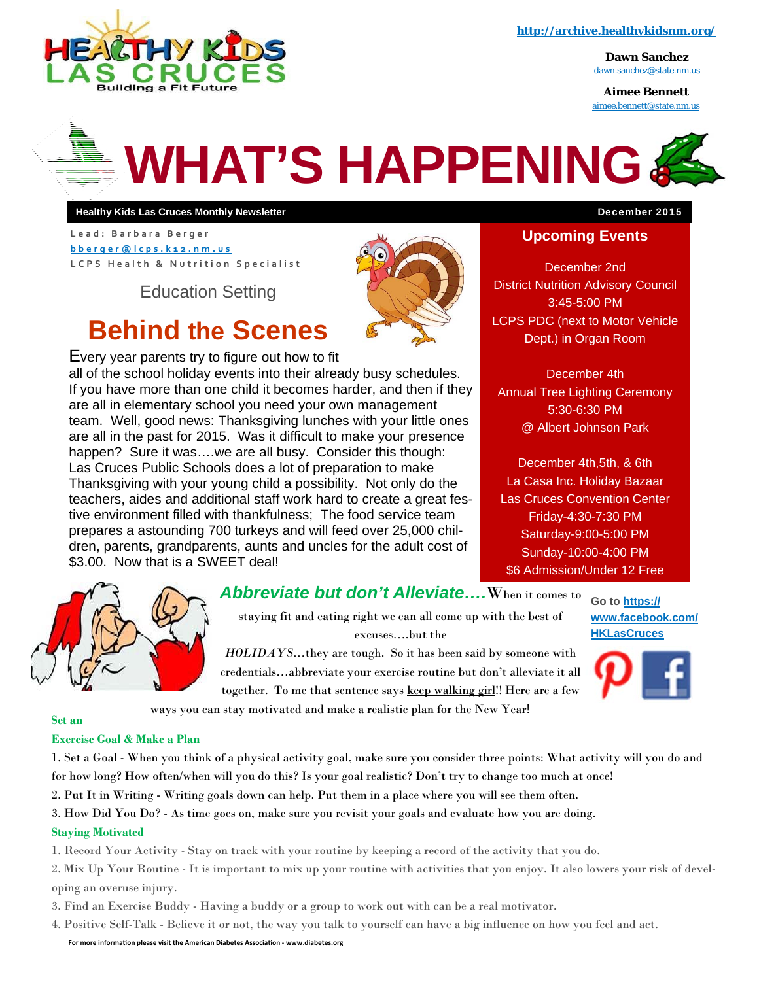

**http://archive.healthykidsnm.org/** 

**Dawn Sanchez**  dawn.sanchez@state.nm.us

**Aimee Bennett**  aimee.bennett@state.nm.us



**Healthy Kids Las Cruces Monthly Newsletter** December 2015

**Lead: Barbara Berger bberger@lcps.k12.nm.us LCPS Health & Nutrition Specialist** 

Education Setting



# **Behind the Scenes**

Every year parents try to figure out how to fit all of the school holiday events into their already busy schedules. If you have more than one child it becomes harder, and then if they are all in elementary school you need your own management team. Well, good news: Thanksgiving lunches with your little ones are all in the past for 2015. Was it difficult to make your presence happen? Sure it was...we are all busy. Consider this though: Las Cruces Public Schools does a lot of preparation to make Thanksgiving with your young child a possibility. Not only do the teachers, aides and additional staff work hard to create a great festive environment filled with thankfulness; The food service team prepares a astounding 700 turkeys and will feed over 25,000 children, parents, grandparents, aunts and uncles for the adult cost of \$3.00. Now that is a SWEET deal!



#### *Abbreviate but don't Alleviate….*When it comes to

staying fit and eating right we can all come up with the best of excuses….but the

*HOLIDAYS...*they are tough. So it has been said by someone with credentials…abbreviate your exercise routine but don't alleviate it all together. To me that sentence says keep walking girl!! Here are a few



**Go to https://**



ways you can stay motivated and make a realistic plan for the New Year!

#### **Set an**

#### **Exercise Goal & Make a Plan**

1. Set a Goal - When you think of a physical activity goal, make sure you consider three points: What activity will you do and for how long? How often/when will you do this? Is your goal realistic? Don't try to change too much at once!

- 2. Put It in Writing Writing goals down can help. Put them in a place where you will see them often.
- 3. How Did You Do? As time goes on, make sure you revisit your goals and evaluate how you are doing.

#### **Staying Motivated**

1. Record Your Activity - Stay on track with your routine by keeping a record of the activity that you do.

2. Mix Up Your Routine - It is important to mix up your routine with activities that you enjoy. It also lowers your risk of developing an overuse injury.

- 3. Find an Exercise Buddy Having a buddy or a group to work out with can be a real motivator.
- 4. Positive Self-Talk Believe it or not, the way you talk to yourself can have a big influence on how you feel and act.

**For more informaƟon please visit the American Diabetes AssociaƟon ‐ www.diabetes.org** 

#### **Upcoming Events**

December 2nd District Nutrition Advisory Council 3:45-5:00 PM LCPS PDC (next to Motor Vehicle Dept.) in Organ Room

December 4th Annual Tree Lighting Ceremony 5:30-6:30 PM @ Albert Johnson Park

December 4th,5th, & 6th La Casa Inc. Holiday Bazaar Las Cruces Convention Center Friday-4:30-7:30 PM Saturday-9:00-5:00 PM Sunday-10:00-4:00 PM \$6 Admission/Under 12 Free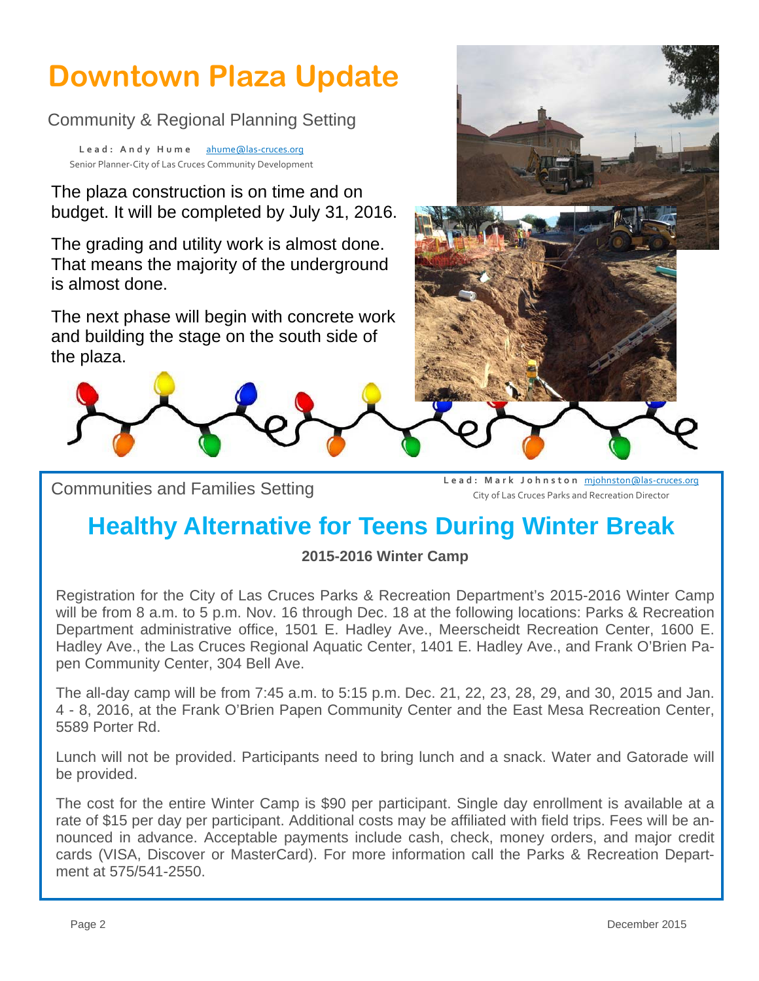# **Downtown Plaza Update**

Community & Regional Planning Setting

Lead: Andy Hume ahume@las-cruces.org Senior Planner‐City of Las Cruces Community Development

The plaza construction is on time and on budget. It will be completed by July 31, 2016.

The grading and utility work is almost done. That means the majority of the underground is almost done.

The next phase will begin with concrete work and building the stage on the south side of the plaza.



Communities and Families Setting **Lead: Mark Johnston** mjohnston@las‐cruces.org City of Las Cruces Parks and Recreation Director

# **Healthy Alternative for Teens During Winter Break**

### **2015-2016 Winter Camp**

Registration for the City of Las Cruces Parks & Recreation Department's 2015-2016 Winter Camp will be from 8 a.m. to 5 p.m. Nov. 16 through Dec. 18 at the following locations: Parks & Recreation Department administrative office, 1501 E. Hadley Ave., Meerscheidt Recreation Center, 1600 E. Hadley Ave., the Las Cruces Regional Aquatic Center, 1401 E. Hadley Ave., and Frank O'Brien Papen Community Center, 304 Bell Ave.

The all-day camp will be from 7:45 a.m. to 5:15 p.m. Dec. 21, 22, 23, 28, 29, and 30, 2015 and Jan. 4 - 8, 2016, at the Frank O'Brien Papen Community Center and the East Mesa Recreation Center, 5589 Porter Rd.

Lunch will not be provided. Participants need to bring lunch and a snack. Water and Gatorade will be provided.

The cost for the entire Winter Camp is \$90 per participant. Single day enrollment is available at a rate of \$15 per day per participant. Additional costs may be affiliated with field trips. Fees will be announced in advance. Acceptable payments include cash, check, money orders, and major credit cards (VISA, Discover or MasterCard). For more information call the Parks & Recreation Department at 575/541-2550.